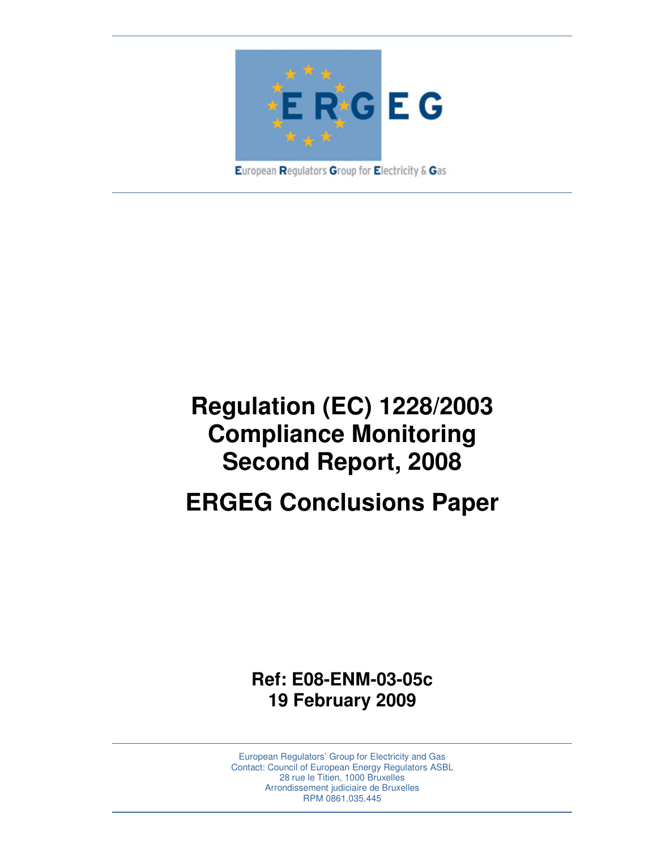

European Regulators Group for Electricity & Gas

# **Regulation (EC) 1228/2003 Compliance Monitoring Second Report, 2008**

## **ERGEG Conclusions Paper**

**Ref: E08-ENM-03-05c 19 February 2009** 

European Regulators' Group for Electricity and Gas Contact: Council of European Energy Regulators ASBL 28 rue le Titien, 1000 Bruxelles Arrondissement judiciaire de Bruxelles RPM 0861.035.445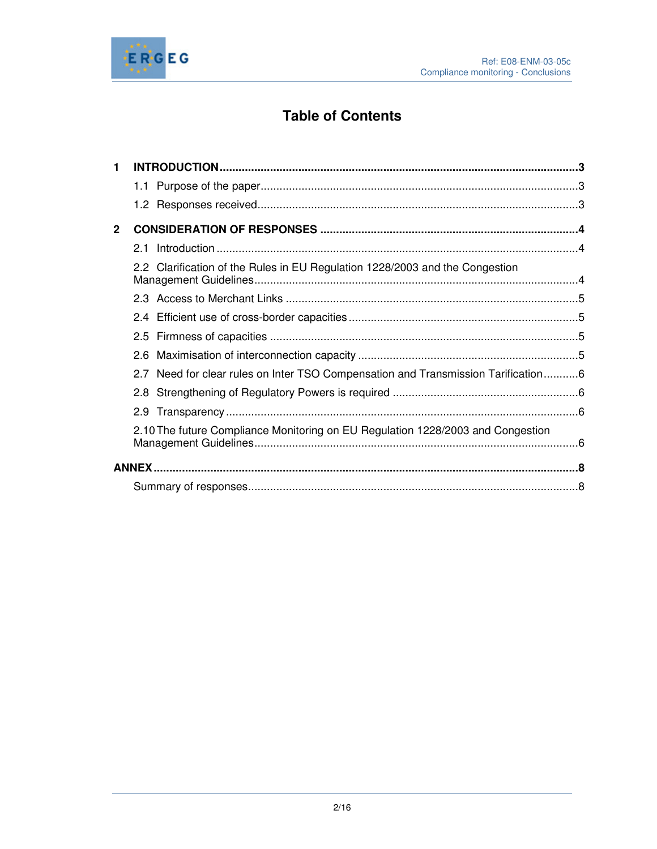

### **Table of Contents**

| 1            |                                                                                   |  |
|--------------|-----------------------------------------------------------------------------------|--|
|              |                                                                                   |  |
|              |                                                                                   |  |
| $\mathbf{2}$ |                                                                                   |  |
|              | 2.1                                                                               |  |
|              | 2.2 Clarification of the Rules in EU Regulation 1228/2003 and the Congestion      |  |
|              |                                                                                   |  |
|              |                                                                                   |  |
|              |                                                                                   |  |
|              |                                                                                   |  |
|              | 2.7 Need for clear rules on Inter TSO Compensation and Transmission Tarification6 |  |
|              |                                                                                   |  |
|              |                                                                                   |  |
|              | 2.10 The future Compliance Monitoring on EU Regulation 1228/2003 and Congestion   |  |
|              |                                                                                   |  |
|              |                                                                                   |  |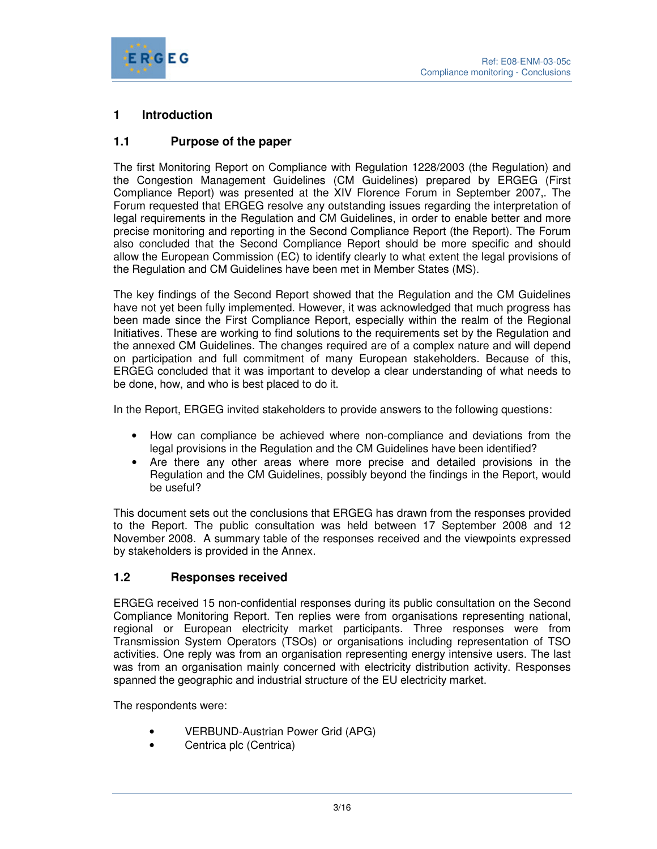

#### **1 Introduction**

#### **1.1 Purpose of the paper**

The first Monitoring Report on Compliance with Regulation 1228/2003 (the Regulation) and the Congestion Management Guidelines (CM Guidelines) prepared by ERGEG (First Compliance Report) was presented at the XIV Florence Forum in September 2007,. The Forum requested that ERGEG resolve any outstanding issues regarding the interpretation of legal requirements in the Regulation and CM Guidelines, in order to enable better and more precise monitoring and reporting in the Second Compliance Report (the Report). The Forum also concluded that the Second Compliance Report should be more specific and should allow the European Commission (EC) to identify clearly to what extent the legal provisions of the Regulation and CM Guidelines have been met in Member States (MS).

The key findings of the Second Report showed that the Regulation and the CM Guidelines have not yet been fully implemented. However, it was acknowledged that much progress has been made since the First Compliance Report, especially within the realm of the Regional Initiatives. These are working to find solutions to the requirements set by the Regulation and the annexed CM Guidelines. The changes required are of a complex nature and will depend on participation and full commitment of many European stakeholders. Because of this, ERGEG concluded that it was important to develop a clear understanding of what needs to be done, how, and who is best placed to do it.

In the Report, ERGEG invited stakeholders to provide answers to the following questions:

- How can compliance be achieved where non-compliance and deviations from the legal provisions in the Regulation and the CM Guidelines have been identified?
- Are there any other areas where more precise and detailed provisions in the Regulation and the CM Guidelines, possibly beyond the findings in the Report, would be useful?

This document sets out the conclusions that ERGEG has drawn from the responses provided to the Report. The public consultation was held between 17 September 2008 and 12 November 2008. A summary table of the responses received and the viewpoints expressed by stakeholders is provided in the Annex.

#### **1.2 Responses received**

ERGEG received 15 non-confidential responses during its public consultation on the Second Compliance Monitoring Report. Ten replies were from organisations representing national, regional or European electricity market participants. Three responses were from Transmission System Operators (TSOs) or organisations including representation of TSO activities. One reply was from an organisation representing energy intensive users. The last was from an organisation mainly concerned with electricity distribution activity. Responses spanned the geographic and industrial structure of the EU electricity market.

The respondents were:

- VERBUND-Austrian Power Grid (APG)
- Centrica plc (Centrica)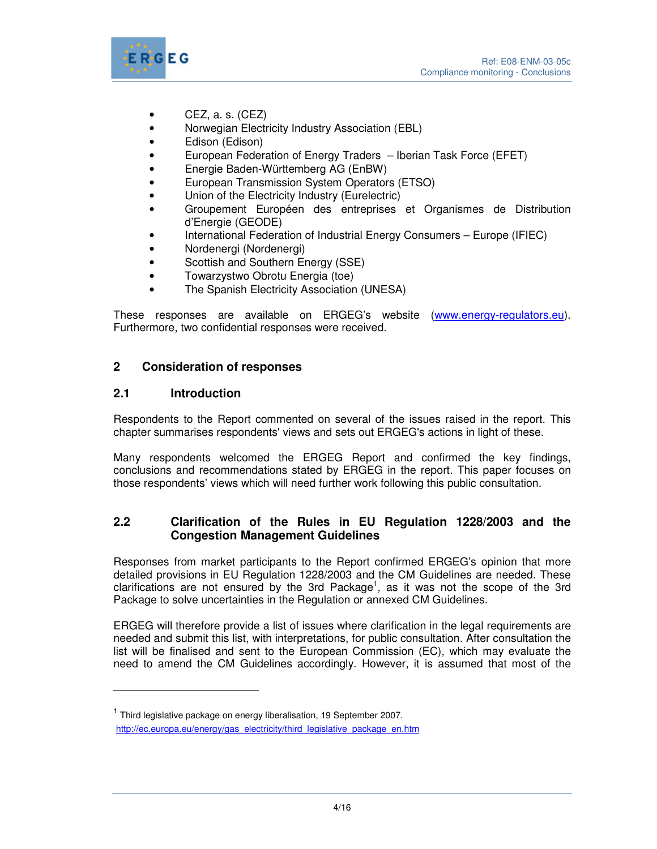

- $\bullet$  CEZ, a. s. (CEZ)
- Norwegian Electricity Industry Association (EBL)
- Edison (Edison)
- European Federation of Energy Traders Iberian Task Force (EFET)
- Energie Baden-Württemberg AG (EnBW)
- European Transmission System Operators (ETSO)
- Union of the Electricity Industry (Eurelectric)
- Groupement Européen des entreprises et Organismes de Distribution d'Energie (GEODE)
- International Federation of Industrial Energy Consumers Europe (IFIEC)
- Nordenergi (Nordenergi)
- Scottish and Southern Energy (SSE)
- Towarzystwo Obrotu Energia (toe)
- The Spanish Electricity Association (UNESA)

These responses are available on ERGEG's website (www.energy-regulators.eu). Furthermore, two confidential responses were received.

#### **2 Consideration of responses**

#### **2.1 Introduction**

 $\overline{a}$ 

Respondents to the Report commented on several of the issues raised in the report. This chapter summarises respondents' views and sets out ERGEG's actions in light of these.

Many respondents welcomed the ERGEG Report and confirmed the key findings, conclusions and recommendations stated by ERGEG in the report. This paper focuses on those respondents' views which will need further work following this public consultation.

#### **2.2 Clarification of the Rules in EU Regulation 1228/2003 and the Congestion Management Guidelines**

Responses from market participants to the Report confirmed ERGEG's opinion that more detailed provisions in EU Regulation 1228/2003 and the CM Guidelines are needed. These clarifications are not ensured by the 3rd Package<sup>1</sup>, as it was not the scope of the 3rd Package to solve uncertainties in the Regulation or annexed CM Guidelines.

ERGEG will therefore provide a list of issues where clarification in the legal requirements are needed and submit this list, with interpretations, for public consultation. After consultation the list will be finalised and sent to the European Commission (EC), which may evaluate the need to amend the CM Guidelines accordingly. However, it is assumed that most of the

<sup>&</sup>lt;sup>1</sup> Third legislative package on energy liberalisation, 19 September 2007.

http://ec.europa.eu/energy/gas\_electricity/third\_legislative\_package\_en.htm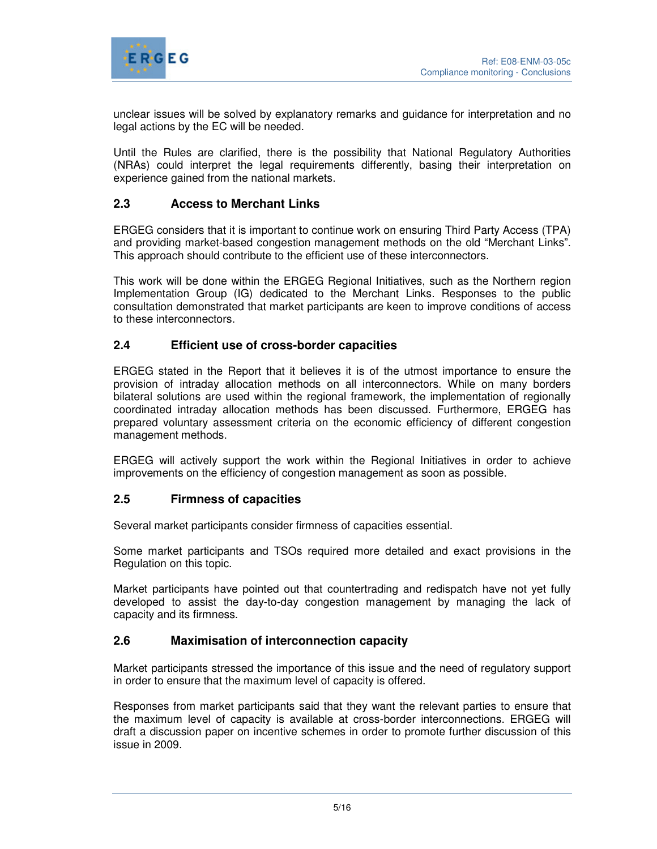

unclear issues will be solved by explanatory remarks and guidance for interpretation and no legal actions by the EC will be needed.

Until the Rules are clarified, there is the possibility that National Regulatory Authorities (NRAs) could interpret the legal requirements differently, basing their interpretation on experience gained from the national markets.

#### **2.3 Access to Merchant Links**

ERGEG considers that it is important to continue work on ensuring Third Party Access (TPA) and providing market-based congestion management methods on the old "Merchant Links". This approach should contribute to the efficient use of these interconnectors.

This work will be done within the ERGEG Regional Initiatives, such as the Northern region Implementation Group (IG) dedicated to the Merchant Links. Responses to the public consultation demonstrated that market participants are keen to improve conditions of access to these interconnectors.

#### **2.4 Efficient use of cross-border capacities**

ERGEG stated in the Report that it believes it is of the utmost importance to ensure the provision of intraday allocation methods on all interconnectors. While on many borders bilateral solutions are used within the regional framework, the implementation of regionally coordinated intraday allocation methods has been discussed. Furthermore, ERGEG has prepared voluntary assessment criteria on the economic efficiency of different congestion management methods.

ERGEG will actively support the work within the Regional Initiatives in order to achieve improvements on the efficiency of congestion management as soon as possible.

#### **2.5 Firmness of capacities**

Several market participants consider firmness of capacities essential.

Some market participants and TSOs required more detailed and exact provisions in the Regulation on this topic.

Market participants have pointed out that countertrading and redispatch have not yet fully developed to assist the day-to-day congestion management by managing the lack of capacity and its firmness.

#### **2.6 Maximisation of interconnection capacity**

Market participants stressed the importance of this issue and the need of regulatory support in order to ensure that the maximum level of capacity is offered.

Responses from market participants said that they want the relevant parties to ensure that the maximum level of capacity is available at cross-border interconnections. ERGEG will draft a discussion paper on incentive schemes in order to promote further discussion of this issue in 2009.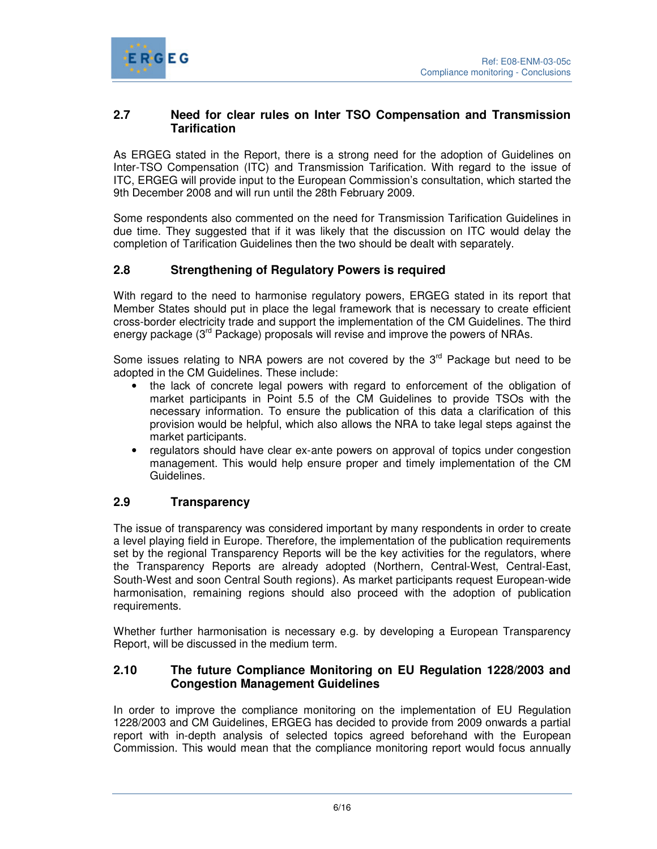

#### **2.7 Need for clear rules on Inter TSO Compensation and Transmission Tarification**

As ERGEG stated in the Report, there is a strong need for the adoption of Guidelines on Inter-TSO Compensation (ITC) and Transmission Tarification. With regard to the issue of ITC, ERGEG will provide input to the European Commission's consultation, which started the 9th December 2008 and will run until the 28th February 2009.

Some respondents also commented on the need for Transmission Tarification Guidelines in due time. They suggested that if it was likely that the discussion on ITC would delay the completion of Tarification Guidelines then the two should be dealt with separately.

#### **2.8 Strengthening of Regulatory Powers is required**

With regard to the need to harmonise regulatory powers, ERGEG stated in its report that Member States should put in place the legal framework that is necessary to create efficient cross-border electricity trade and support the implementation of the CM Guidelines. The third energy package ( $3<sup>rd</sup>$  Package) proposals will revise and improve the powers of NRAs.

Some issues relating to NRA powers are not covered by the  $3<sup>rd</sup>$  Package but need to be adopted in the CM Guidelines. These include:

- the lack of concrete legal powers with regard to enforcement of the obligation of market participants in Point 5.5 of the CM Guidelines to provide TSOs with the necessary information. To ensure the publication of this data a clarification of this provision would be helpful, which also allows the NRA to take legal steps against the market participants.
- regulators should have clear ex-ante powers on approval of topics under congestion management. This would help ensure proper and timely implementation of the CM Guidelines.

#### **2.9 Transparency**

The issue of transparency was considered important by many respondents in order to create a level playing field in Europe. Therefore, the implementation of the publication requirements set by the regional Transparency Reports will be the key activities for the regulators, where the Transparency Reports are already adopted (Northern, Central-West, Central-East, South-West and soon Central South regions). As market participants request European-wide harmonisation, remaining regions should also proceed with the adoption of publication requirements.

Whether further harmonisation is necessary e.g. by developing a European Transparency Report, will be discussed in the medium term.

#### **2.10 The future Compliance Monitoring on EU Regulation 1228/2003 and Congestion Management Guidelines**

In order to improve the compliance monitoring on the implementation of EU Regulation 1228/2003 and CM Guidelines, ERGEG has decided to provide from 2009 onwards a partial report with in-depth analysis of selected topics agreed beforehand with the European Commission. This would mean that the compliance monitoring report would focus annually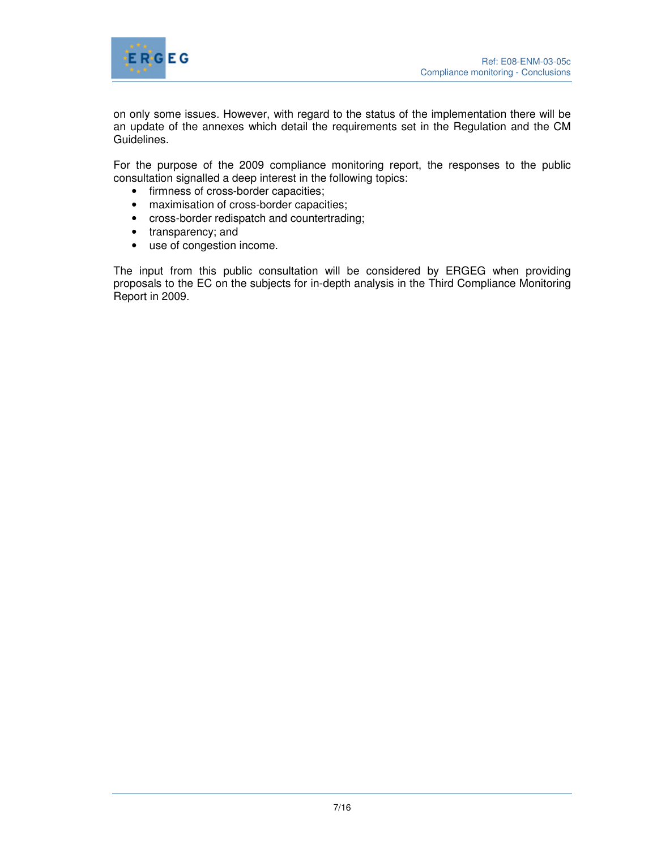

on only some issues. However, with regard to the status of the implementation there will be an update of the annexes which detail the requirements set in the Regulation and the CM Guidelines.

For the purpose of the 2009 compliance monitoring report, the responses to the public consultation signalled a deep interest in the following topics:

- firmness of cross-border capacities;
- maximisation of cross-border capacities;
- cross-border redispatch and countertrading;
- transparency; and
- use of congestion income.

The input from this public consultation will be considered by ERGEG when providing proposals to the EC on the subjects for in-depth analysis in the Third Compliance Monitoring Report in 2009.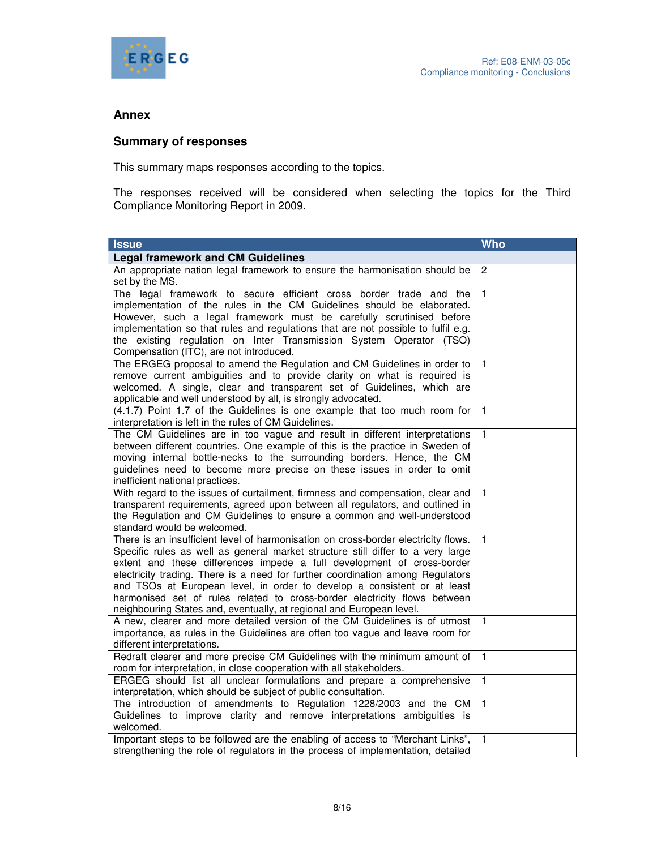

#### **Annex**

#### **Summary of responses**

This summary maps responses according to the topics.

The responses received will be considered when selecting the topics for the Third Compliance Monitoring Report in 2009.

| <b>Issue</b>                                                                                                                                                                                                                                                                                                                                                                                                                                                                                                                                                       | <b>Who</b>     |
|--------------------------------------------------------------------------------------------------------------------------------------------------------------------------------------------------------------------------------------------------------------------------------------------------------------------------------------------------------------------------------------------------------------------------------------------------------------------------------------------------------------------------------------------------------------------|----------------|
| <b>Legal framework and CM Guidelines</b>                                                                                                                                                                                                                                                                                                                                                                                                                                                                                                                           |                |
| An appropriate nation legal framework to ensure the harmonisation should be<br>set by the MS.                                                                                                                                                                                                                                                                                                                                                                                                                                                                      | $\overline{c}$ |
| The legal framework to secure efficient cross border trade and the<br>implementation of the rules in the CM Guidelines should be elaborated.<br>However, such a legal framework must be carefully scrutinised before<br>implementation so that rules and regulations that are not possible to fulfil e.g.<br>the existing regulation on Inter Transmission System Operator (TSO)<br>Compensation (ITC), are not introduced.                                                                                                                                        | $\overline{1}$ |
| The ERGEG proposal to amend the Regulation and CM Guidelines in order to<br>remove current ambiguities and to provide clarity on what is required is<br>welcomed. A single, clear and transparent set of Guidelines, which are<br>applicable and well understood by all, is strongly advocated.                                                                                                                                                                                                                                                                    | 1              |
| (4.1.7) Point 1.7 of the Guidelines is one example that too much room for<br>interpretation is left in the rules of CM Guidelines.                                                                                                                                                                                                                                                                                                                                                                                                                                 | $\mathbf{1}$   |
| The CM Guidelines are in too vague and result in different interpretations<br>between different countries. One example of this is the practice in Sweden of<br>moving internal bottle-necks to the surrounding borders. Hence, the CM<br>guidelines need to become more precise on these issues in order to omit<br>inefficient national practices.                                                                                                                                                                                                                | $\overline{1}$ |
| With regard to the issues of curtailment, firmness and compensation, clear and<br>transparent requirements, agreed upon between all regulators, and outlined in<br>the Regulation and CM Guidelines to ensure a common and well-understood<br>standard would be welcomed.                                                                                                                                                                                                                                                                                          | $\mathbf{1}$   |
| There is an insufficient level of harmonisation on cross-border electricity flows.<br>Specific rules as well as general market structure still differ to a very large<br>extent and these differences impede a full development of cross-border<br>electricity trading. There is a need for further coordination among Regulators<br>and TSOs at European level, in order to develop a consistent or at least<br>harmonised set of rules related to cross-border electricity flows between<br>neighbouring States and, eventually, at regional and European level. | $\mathbf{1}$   |
| A new, clearer and more detailed version of the CM Guidelines is of utmost<br>importance, as rules in the Guidelines are often too vague and leave room for<br>different interpretations.                                                                                                                                                                                                                                                                                                                                                                          | $\mathbf{1}$   |
| Redraft clearer and more precise CM Guidelines with the minimum amount of<br>room for interpretation, in close cooperation with all stakeholders.                                                                                                                                                                                                                                                                                                                                                                                                                  | $\mathbf{1}$   |
| ERGEG should list all unclear formulations and prepare a comprehensive<br>interpretation, which should be subject of public consultation.                                                                                                                                                                                                                                                                                                                                                                                                                          | $\overline{1}$ |
| The introduction of amendments to Regulation 1228/2003 and the CM<br>Guidelines to improve clarity and remove interpretations ambiguities is<br>welcomed.                                                                                                                                                                                                                                                                                                                                                                                                          | $\overline{1}$ |
| Important steps to be followed are the enabling of access to "Merchant Links",<br>strengthening the role of regulators in the process of implementation, detailed                                                                                                                                                                                                                                                                                                                                                                                                  | $\overline{1}$ |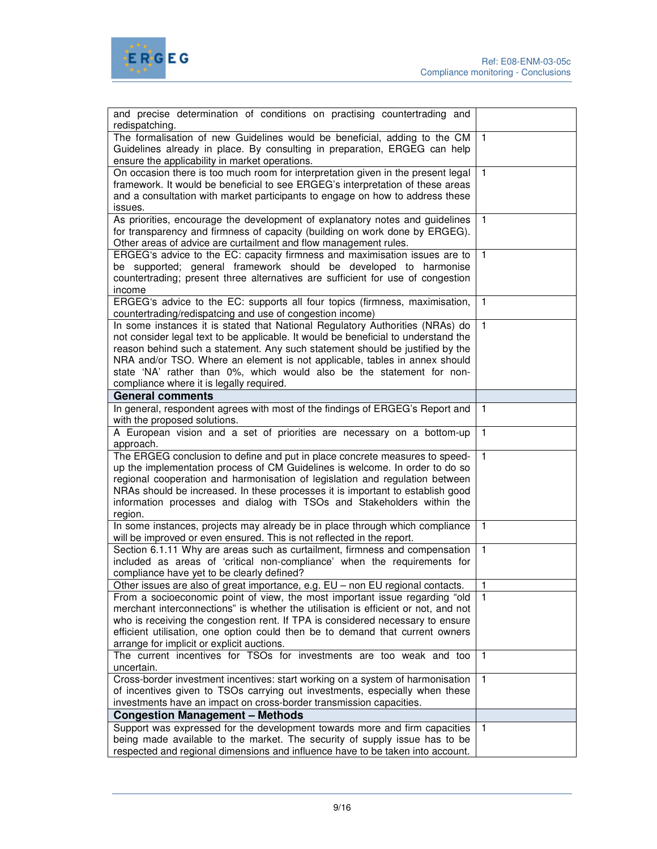



| and precise determination of conditions on practising countertrading and                                                                                    |                |
|-------------------------------------------------------------------------------------------------------------------------------------------------------------|----------------|
| redispatching.                                                                                                                                              | $\overline{1}$ |
| The formalisation of new Guidelines would be beneficial, adding to the CM<br>Guidelines already in place. By consulting in preparation, ERGEG can help      |                |
| ensure the applicability in market operations.                                                                                                              |                |
| On occasion there is too much room for interpretation given in the present legal                                                                            | $\mathbf{1}$   |
| framework. It would be beneficial to see ERGEG's interpretation of these areas                                                                              |                |
| and a consultation with market participants to engage on how to address these                                                                               |                |
| issues.                                                                                                                                                     |                |
| As priorities, encourage the development of explanatory notes and guidelines                                                                                | $\mathbf{1}$   |
| for transparency and firmness of capacity (building on work done by ERGEG).                                                                                 |                |
| Other areas of advice are curtailment and flow management rules.                                                                                            |                |
| ERGEG's advice to the EC: capacity firmness and maximisation issues are to                                                                                  | $\mathbf{1}$   |
| be supported; general framework should be developed to harmonise                                                                                            |                |
| countertrading; present three alternatives are sufficient for use of congestion                                                                             |                |
| income                                                                                                                                                      |                |
| ERGEG's advice to the EC: supports all four topics (firmness, maximisation,                                                                                 | $\mathbf{1}$   |
| countertrading/redispatcing and use of congestion income)                                                                                                   |                |
| In some instances it is stated that National Regulatory Authorities (NRAs) do                                                                               | $\mathbf{1}$   |
| not consider legal text to be applicable. It would be beneficial to understand the                                                                          |                |
| reason behind such a statement. Any such statement should be justified by the                                                                               |                |
| NRA and/or TSO. Where an element is not applicable, tables in annex should                                                                                  |                |
| state 'NA' rather than 0%, which would also be the statement for non-                                                                                       |                |
| compliance where it is legally required.                                                                                                                    |                |
| <b>General comments</b>                                                                                                                                     |                |
|                                                                                                                                                             | $\mathbf{1}$   |
| In general, respondent agrees with most of the findings of ERGEG's Report and                                                                               |                |
| with the proposed solutions.                                                                                                                                |                |
| A European vision and a set of priorities are necessary on a bottom-up                                                                                      | $\mathbf{1}$   |
| approach.                                                                                                                                                   | $\mathbf{1}$   |
| The ERGEG conclusion to define and put in place concrete measures to speed-<br>up the implementation process of CM Guidelines is welcome. In order to do so |                |
| regional cooperation and harmonisation of legislation and regulation between                                                                                |                |
| NRAs should be increased. In these processes it is important to establish good                                                                              |                |
| information processes and dialog with TSOs and Stakeholders within the                                                                                      |                |
| region.                                                                                                                                                     |                |
| In some instances, projects may already be in place through which compliance                                                                                | $\mathbf{1}$   |
| will be improved or even ensured. This is not reflected in the report.                                                                                      |                |
| Section 6.1.11 Why are areas such as curtailment, firmness and compensation                                                                                 | $\mathbf{1}$   |
| included as areas of 'critical non-compliance' when the requirements for                                                                                    |                |
| compliance have yet to be clearly defined?                                                                                                                  |                |
| Other issues are also of great importance, e.g. EU - non EU regional contacts.                                                                              | $\mathbf{1}$   |
| From a socioeconomic point of view, the most important issue regarding "old                                                                                 |                |
| merchant interconnections" is whether the utilisation is efficient or not, and not                                                                          |                |
| who is receiving the congestion rent. If TPA is considered necessary to ensure                                                                              |                |
| efficient utilisation, one option could then be to demand that current owners                                                                               |                |
| arrange for implicit or explicit auctions.                                                                                                                  |                |
| The current incentives for TSOs for investments are too weak and too                                                                                        | $\overline{1}$ |
| uncertain.                                                                                                                                                  |                |
| Cross-border investment incentives: start working on a system of harmonisation                                                                              | $\mathbf{1}$   |
| of incentives given to TSOs carrying out investments, especially when these                                                                                 |                |
| investments have an impact on cross-border transmission capacities.                                                                                         |                |
| <b>Congestion Management - Methods</b>                                                                                                                      |                |
| Support was expressed for the development towards more and firm capacities                                                                                  | $\mathbf{1}$   |
| being made available to the market. The security of supply issue has to be                                                                                  |                |
| respected and regional dimensions and influence have to be taken into account.                                                                              |                |
|                                                                                                                                                             |                |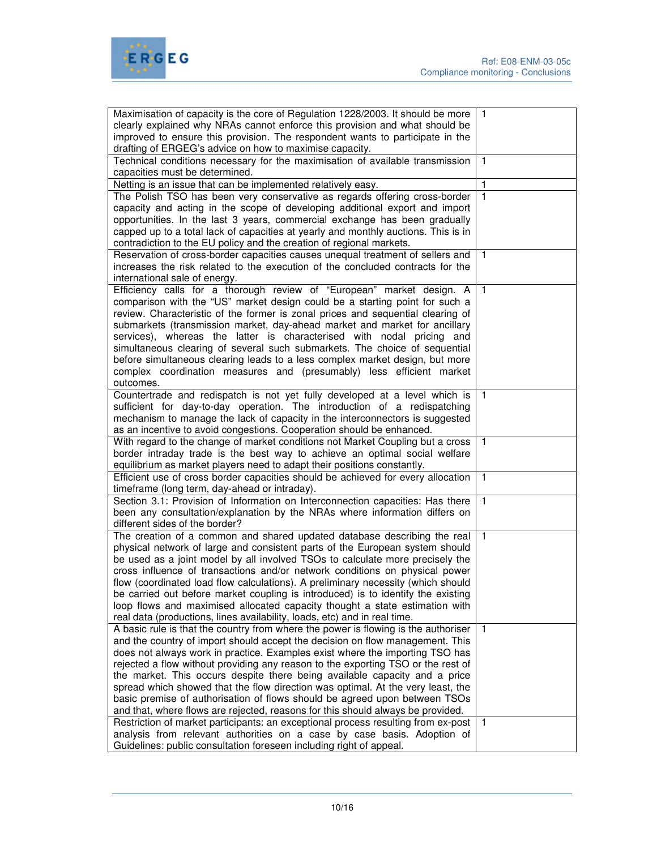

| Maximisation of capacity is the core of Regulation 1228/2003. It should be more<br>clearly explained why NRAs cannot enforce this provision and what should be<br>improved to ensure this provision. The respondent wants to participate in the<br>drafting of ERGEG's advice on how to maximise capacity.                                                                                                                                                                                                                                                                                                                                                                                                                                                     | $\mathbf{1}$                 |
|----------------------------------------------------------------------------------------------------------------------------------------------------------------------------------------------------------------------------------------------------------------------------------------------------------------------------------------------------------------------------------------------------------------------------------------------------------------------------------------------------------------------------------------------------------------------------------------------------------------------------------------------------------------------------------------------------------------------------------------------------------------|------------------------------|
| Technical conditions necessary for the maximisation of available transmission<br>capacities must be determined.                                                                                                                                                                                                                                                                                                                                                                                                                                                                                                                                                                                                                                                | $\mathbf{1}$                 |
| Netting is an issue that can be implemented relatively easy.                                                                                                                                                                                                                                                                                                                                                                                                                                                                                                                                                                                                                                                                                                   | 1                            |
| The Polish TSO has been very conservative as regards offering cross-border<br>capacity and acting in the scope of developing additional export and import                                                                                                                                                                                                                                                                                                                                                                                                                                                                                                                                                                                                      | 1                            |
| opportunities. In the last 3 years, commercial exchange has been gradually<br>capped up to a total lack of capacities at yearly and monthly auctions. This is in<br>contradiction to the EU policy and the creation of regional markets.                                                                                                                                                                                                                                                                                                                                                                                                                                                                                                                       |                              |
| Reservation of cross-border capacities causes unequal treatment of sellers and<br>increases the risk related to the execution of the concluded contracts for the<br>international sale of energy.                                                                                                                                                                                                                                                                                                                                                                                                                                                                                                                                                              | 1                            |
|                                                                                                                                                                                                                                                                                                                                                                                                                                                                                                                                                                                                                                                                                                                                                                |                              |
| Efficiency calls for a thorough review of "European" market design. A<br>comparison with the "US" market design could be a starting point for such a<br>review. Characteristic of the former is zonal prices and sequential clearing of<br>submarkets (transmission market, day-ahead market and market for ancillary<br>services), whereas the latter is characterised with nodal pricing and<br>simultaneous clearing of several such submarkets. The choice of sequential<br>before simultaneous clearing leads to a less complex market design, but more<br>complex coordination measures and (presumably) less efficient market<br>outcomes.                                                                                                              | $\mathbf{1}$                 |
| Countertrade and redispatch is not yet fully developed at a level which is<br>sufficient for day-to-day operation. The introduction of a redispatching<br>mechanism to manage the lack of capacity in the interconnectors is suggested<br>as an incentive to avoid congestions. Cooperation should be enhanced.                                                                                                                                                                                                                                                                                                                                                                                                                                                | $\mathbf{1}$                 |
| With regard to the change of market conditions not Market Coupling but a cross<br>border intraday trade is the best way to achieve an optimal social welfare<br>equilibrium as market players need to adapt their positions constantly.                                                                                                                                                                                                                                                                                                                                                                                                                                                                                                                        | $\mathbf{1}$                 |
| Efficient use of cross border capacities should be achieved for every allocation<br>timeframe (long term, day-ahead or intraday).                                                                                                                                                                                                                                                                                                                                                                                                                                                                                                                                                                                                                              | $\mathbf{1}$                 |
| Section 3.1: Provision of Information on Interconnection capacities: Has there<br>been any consultation/explanation by the NRAs where information differs on<br>different sides of the border?                                                                                                                                                                                                                                                                                                                                                                                                                                                                                                                                                                 | $\mathbf{1}$                 |
| The creation of a common and shared updated database describing the real<br>physical network of large and consistent parts of the European system should<br>be used as a joint model by all involved TSOs to calculate more precisely the<br>cross influence of transactions and/or network conditions on physical power<br>flow (coordinated load flow calculations). A preliminary necessity (which should<br>be carried out before market coupling is introduced) is to identify the existing<br>loop flows and maximised allocated capacity thought a state estimation with<br>real data (productions, lines availability, loads, etc) and in real time.                                                                                                   | $\mathbf{1}$                 |
| A basic rule is that the country from where the power is flowing is the authoriser<br>and the country of import should accept the decision on flow management. This<br>does not always work in practice. Examples exist where the importing TSO has<br>rejected a flow without providing any reason to the exporting TSO or the rest of<br>the market. This occurs despite there being available capacity and a price<br>spread which showed that the flow direction was optimal. At the very least, the<br>basic premise of authorisation of flows should be agreed upon between TSOs<br>and that, where flows are rejected, reasons for this should always be provided.<br>Restriction of market participants: an exceptional process resulting from ex-post | $\mathbf{1}$<br>$\mathbf{1}$ |
| analysis from relevant authorities on a case by case basis. Adoption of<br>Guidelines: public consultation foreseen including right of appeal.                                                                                                                                                                                                                                                                                                                                                                                                                                                                                                                                                                                                                 |                              |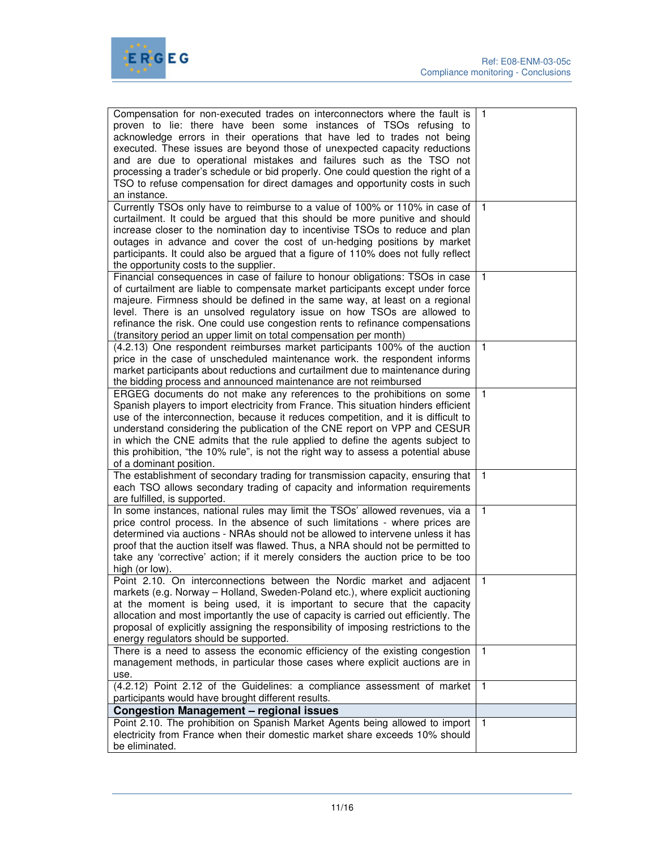

| Compensation for non-executed trades on interconnectors where the fault is<br>proven to lie: there have been some instances of TSOs refusing to<br>acknowledge errors in their operations that have led to trades not being<br>executed. These issues are beyond those of unexpected capacity reductions<br>and are due to operational mistakes and failures such as the TSO not<br>processing a trader's schedule or bid properly. One could question the right of a<br>TSO to refuse compensation for direct damages and opportunity costs in such<br>an instance. | $\overline{1}$ |
|----------------------------------------------------------------------------------------------------------------------------------------------------------------------------------------------------------------------------------------------------------------------------------------------------------------------------------------------------------------------------------------------------------------------------------------------------------------------------------------------------------------------------------------------------------------------|----------------|
| Currently TSOs only have to reimburse to a value of 100% or 110% in case of<br>curtailment. It could be argued that this should be more punitive and should<br>increase closer to the nomination day to incentivise TSOs to reduce and plan<br>outages in advance and cover the cost of un-hedging positions by market<br>participants. It could also be argued that a figure of 110% does not fully reflect<br>the opportunity costs to the supplier.                                                                                                               | $\overline{1}$ |
| Financial consequences in case of failure to honour obligations: TSOs in case<br>of curtailment are liable to compensate market participants except under force<br>majeure. Firmness should be defined in the same way, at least on a regional<br>level. There is an unsolved regulatory issue on how TSOs are allowed to<br>refinance the risk. One could use congestion rents to refinance compensations<br>(transitory period an upper limit on total compensation per month)                                                                                     | $\mathbf{1}$   |
| (4.2.13) One respondent reimburses market participants 100% of the auction<br>price in the case of unscheduled maintenance work. the respondent informs<br>market participants about reductions and curtailment due to maintenance during<br>the bidding process and announced maintenance are not reimbursed                                                                                                                                                                                                                                                        | $\overline{1}$ |
| ERGEG documents do not make any references to the prohibitions on some<br>Spanish players to import electricity from France. This situation hinders efficient<br>use of the interconnection, because it reduces competition, and it is difficult to<br>understand considering the publication of the CNE report on VPP and CESUR<br>in which the CNE admits that the rule applied to define the agents subject to<br>this prohibition, "the 10% rule", is not the right way to assess a potential abuse<br>of a dominant position.                                   | $\overline{1}$ |
| The establishment of secondary trading for transmission capacity, ensuring that<br>each TSO allows secondary trading of capacity and information requirements<br>are fulfilled, is supported.                                                                                                                                                                                                                                                                                                                                                                        | $\overline{1}$ |
| In some instances, national rules may limit the TSOs' allowed revenues, via a<br>price control process. In the absence of such limitations - where prices are<br>determined via auctions - NRAs should not be allowed to intervene unless it has<br>proof that the auction itself was flawed. Thus, a NRA should not be permitted to<br>take any 'corrective' action; if it merely considers the auction price to be too<br>high (or low).                                                                                                                           | $\mathbf{1}$   |
| Point 2.10. On interconnections between the Nordic market and adjacent   1<br>markets (e.g. Norway - Holland, Sweden-Poland etc.), where explicit auctioning<br>at the moment is being used, it is important to secure that the capacity<br>allocation and most importantly the use of capacity is carried out efficiently. The<br>proposal of explicitly assigning the responsibility of imposing restrictions to the<br>energy regulators should be supported.                                                                                                     |                |
| There is a need to assess the economic efficiency of the existing congestion<br>management methods, in particular those cases where explicit auctions are in<br>use.                                                                                                                                                                                                                                                                                                                                                                                                 | $\mathbf{1}$   |
| (4.2.12) Point 2.12 of the Guidelines: a compliance assessment of market<br>participants would have brought different results.                                                                                                                                                                                                                                                                                                                                                                                                                                       | $\mathbf{1}$   |
| <b>Congestion Management - regional issues</b>                                                                                                                                                                                                                                                                                                                                                                                                                                                                                                                       |                |
| Point 2.10. The prohibition on Spanish Market Agents being allowed to import<br>electricity from France when their domestic market share exceeds 10% should<br>be eliminated.                                                                                                                                                                                                                                                                                                                                                                                        | $\mathbf{1}$   |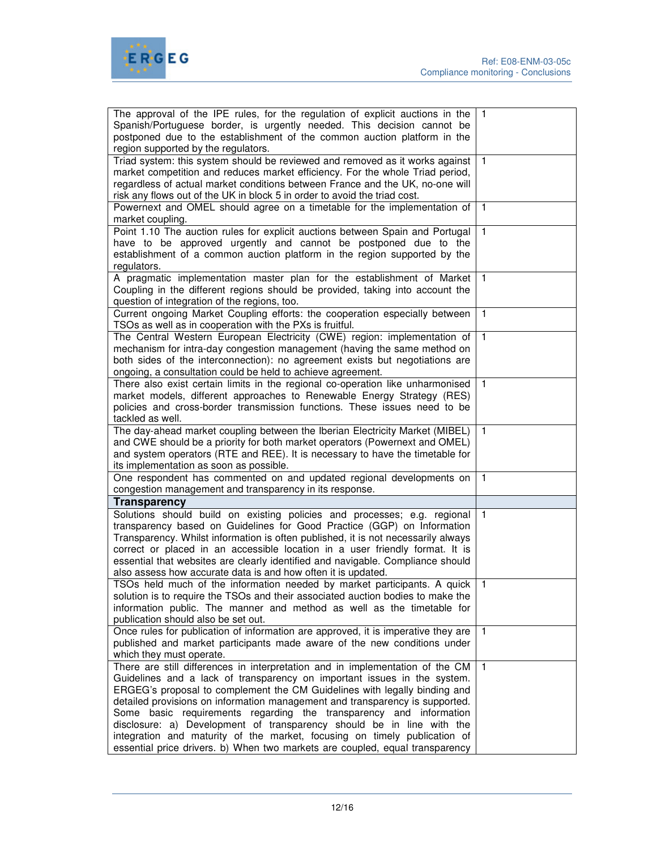

| The approval of the IPE rules, for the regulation of explicit auctions in the<br>Spanish/Portuguese border, is urgently needed. This decision cannot be<br>postponed due to the establishment of the common auction platform in the<br>region supported by the regulators.                                                                                                                                                                                                                                                                                                                                                         | $\mathbf{1}$   |
|------------------------------------------------------------------------------------------------------------------------------------------------------------------------------------------------------------------------------------------------------------------------------------------------------------------------------------------------------------------------------------------------------------------------------------------------------------------------------------------------------------------------------------------------------------------------------------------------------------------------------------|----------------|
| Triad system: this system should be reviewed and removed as it works against<br>market competition and reduces market efficiency. For the whole Triad period,<br>regardless of actual market conditions between France and the UK, no-one will<br>risk any flows out of the UK in block 5 in order to avoid the triad cost.                                                                                                                                                                                                                                                                                                        | $\overline{1}$ |
| Powernext and OMEL should agree on a timetable for the implementation of<br>market coupling.                                                                                                                                                                                                                                                                                                                                                                                                                                                                                                                                       | $\overline{1}$ |
| Point 1.10 The auction rules for explicit auctions between Spain and Portugal<br>have to be approved urgently and cannot be postponed due to the<br>establishment of a common auction platform in the region supported by the<br>regulators.                                                                                                                                                                                                                                                                                                                                                                                       | $\mathbf{1}$   |
| A pragmatic implementation master plan for the establishment of Market<br>Coupling in the different regions should be provided, taking into account the<br>question of integration of the regions, too.                                                                                                                                                                                                                                                                                                                                                                                                                            | $\overline{1}$ |
| Current ongoing Market Coupling efforts: the cooperation especially between<br>TSOs as well as in cooperation with the PXs is fruitful.                                                                                                                                                                                                                                                                                                                                                                                                                                                                                            | $\mathbf{1}$   |
| The Central Western European Electricity (CWE) region: implementation of<br>mechanism for intra-day congestion management (having the same method on<br>both sides of the interconnection): no agreement exists but negotiations are<br>ongoing, a consultation could be held to achieve agreement.                                                                                                                                                                                                                                                                                                                                | $\overline{1}$ |
| There also exist certain limits in the regional co-operation like unharmonised<br>market models, different approaches to Renewable Energy Strategy (RES)<br>policies and cross-border transmission functions. These issues need to be<br>tackled as well.                                                                                                                                                                                                                                                                                                                                                                          | $\mathbf{1}$   |
| The day-ahead market coupling between the Iberian Electricity Market (MIBEL)<br>and CWE should be a priority for both market operators (Powernext and OMEL)<br>and system operators (RTE and REE). It is necessary to have the timetable for<br>its implementation as soon as possible.                                                                                                                                                                                                                                                                                                                                            | $\mathbf{1}$   |
| One respondent has commented on and updated regional developments on<br>congestion management and transparency in its response.                                                                                                                                                                                                                                                                                                                                                                                                                                                                                                    | $\mathbf{1}$   |
| <b>Transparency</b>                                                                                                                                                                                                                                                                                                                                                                                                                                                                                                                                                                                                                |                |
| Solutions should build on existing policies and processes; e.g. regional<br>transparency based on Guidelines for Good Practice (GGP) on Information<br>Transparency. Whilst information is often published, it is not necessarily always<br>correct or placed in an accessible location in a user friendly format. It is<br>essential that websites are clearly identified and navigable. Compliance should<br>also assess how accurate data is and how often it is updated.                                                                                                                                                       | $\overline{1}$ |
| TSOs held much of the information needed by market participants. A quick   1<br>solution is to require the TSOs and their associated auction bodies to make the<br>information public. The manner and method as well as the timetable for<br>publication should also be set out.                                                                                                                                                                                                                                                                                                                                                   |                |
| Once rules for publication of information are approved, it is imperative they are<br>published and market participants made aware of the new conditions under<br>which they must operate.                                                                                                                                                                                                                                                                                                                                                                                                                                          | $\overline{1}$ |
| There are still differences in interpretation and in implementation of the CM<br>Guidelines and a lack of transparency on important issues in the system.<br>ERGEG's proposal to complement the CM Guidelines with legally binding and<br>detailed provisions on information management and transparency is supported.<br>Some basic requirements regarding the transparency and information<br>disclosure: a) Development of transparency should be in line with the<br>integration and maturity of the market, focusing on timely publication of<br>essential price drivers. b) When two markets are coupled, equal transparency | $\overline{1}$ |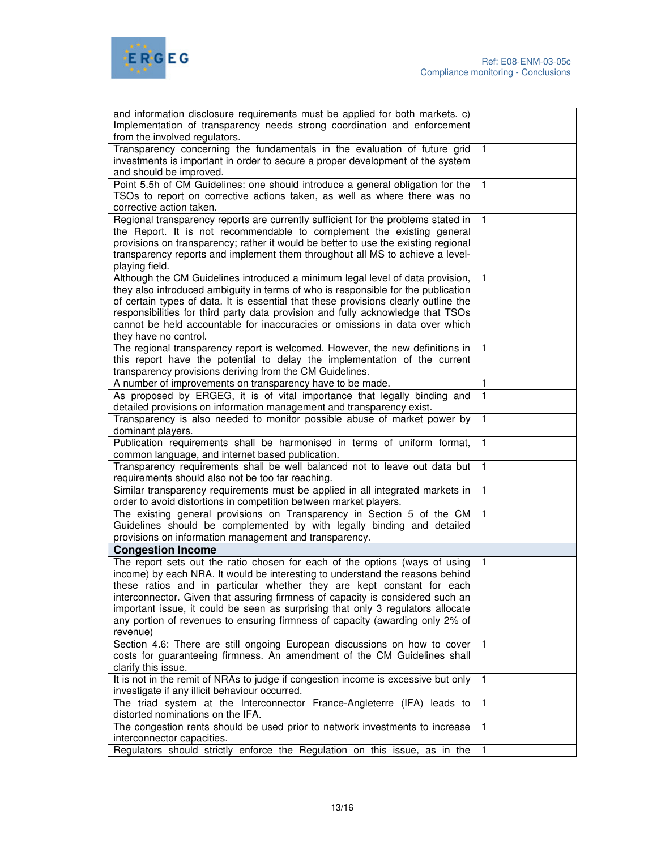

| and information disclosure requirements must be applied for both markets. c)<br>Implementation of transparency needs strong coordination and enforcement<br>from the involved regulators.                                                                                                                                                                                                                                                                                                                |              |
|----------------------------------------------------------------------------------------------------------------------------------------------------------------------------------------------------------------------------------------------------------------------------------------------------------------------------------------------------------------------------------------------------------------------------------------------------------------------------------------------------------|--------------|
| Transparency concerning the fundamentals in the evaluation of future grid<br>investments is important in order to secure a proper development of the system<br>and should be improved.                                                                                                                                                                                                                                                                                                                   | 1            |
| Point 5.5h of CM Guidelines: one should introduce a general obligation for the<br>TSOs to report on corrective actions taken, as well as where there was no<br>corrective action taken.                                                                                                                                                                                                                                                                                                                  | $\mathbf{1}$ |
| Regional transparency reports are currently sufficient for the problems stated in<br>the Report. It is not recommendable to complement the existing general<br>provisions on transparency; rather it would be better to use the existing regional<br>transparency reports and implement them throughout all MS to achieve a level-<br>playing field.                                                                                                                                                     | $\mathbf{1}$ |
| Although the CM Guidelines introduced a minimum legal level of data provision,<br>they also introduced ambiguity in terms of who is responsible for the publication<br>of certain types of data. It is essential that these provisions clearly outline the<br>responsibilities for third party data provision and fully acknowledge that TSOs<br>cannot be held accountable for inaccuracies or omissions in data over which<br>they have no control.                                                    | $\mathbf{1}$ |
| The regional transparency report is welcomed. However, the new definitions in<br>this report have the potential to delay the implementation of the current<br>transparency provisions deriving from the CM Guidelines.                                                                                                                                                                                                                                                                                   | $\mathbf{1}$ |
| A number of improvements on transparency have to be made.                                                                                                                                                                                                                                                                                                                                                                                                                                                | 1            |
| As proposed by ERGEG, it is of vital importance that legally binding and<br>detailed provisions on information management and transparency exist.                                                                                                                                                                                                                                                                                                                                                        | $\mathbf{1}$ |
| Transparency is also needed to monitor possible abuse of market power by<br>dominant players.                                                                                                                                                                                                                                                                                                                                                                                                            | $\mathbf{1}$ |
| Publication requirements shall be harmonised in terms of uniform format,<br>common language, and internet based publication.                                                                                                                                                                                                                                                                                                                                                                             | $\mathbf{1}$ |
| Transparency requirements shall be well balanced not to leave out data but<br>requirements should also not be too far reaching.                                                                                                                                                                                                                                                                                                                                                                          | $\mathbf{1}$ |
| Similar transparency requirements must be applied in all integrated markets in<br>order to avoid distortions in competition between market players.                                                                                                                                                                                                                                                                                                                                                      | $\mathbf{1}$ |
| The existing general provisions on Transparency in Section 5 of the CM<br>Guidelines should be complemented by with legally binding and detailed<br>provisions on information management and transparency.                                                                                                                                                                                                                                                                                               | 1            |
| <b>Congestion Income</b>                                                                                                                                                                                                                                                                                                                                                                                                                                                                                 |              |
| The report sets out the ratio chosen for each of the options (ways of using<br>income) by each NRA. It would be interesting to understand the reasons behind<br>these ratios and in particular whether they are kept constant for each<br>interconnector. Given that assuring firmness of capacity is considered such an<br>important issue, it could be seen as surprising that only 3 regulators allocate<br>any portion of revenues to ensuring firmness of capacity (awarding only 2% of<br>revenue) | $\mathbf{1}$ |
| Section 4.6: There are still ongoing European discussions on how to cover<br>costs for guaranteeing firmness. An amendment of the CM Guidelines shall<br>clarify this issue.                                                                                                                                                                                                                                                                                                                             | 1            |
| It is not in the remit of NRAs to judge if congestion income is excessive but only<br>investigate if any illicit behaviour occurred.                                                                                                                                                                                                                                                                                                                                                                     | 1            |
| The triad system at the Interconnector France-Angleterre (IFA) leads to<br>distorted nominations on the IFA.                                                                                                                                                                                                                                                                                                                                                                                             | 1            |
| The congestion rents should be used prior to network investments to increase<br>interconnector capacities.                                                                                                                                                                                                                                                                                                                                                                                               | 1            |
| Regulators should strictly enforce the Regulation on this issue, as in the                                                                                                                                                                                                                                                                                                                                                                                                                               |              |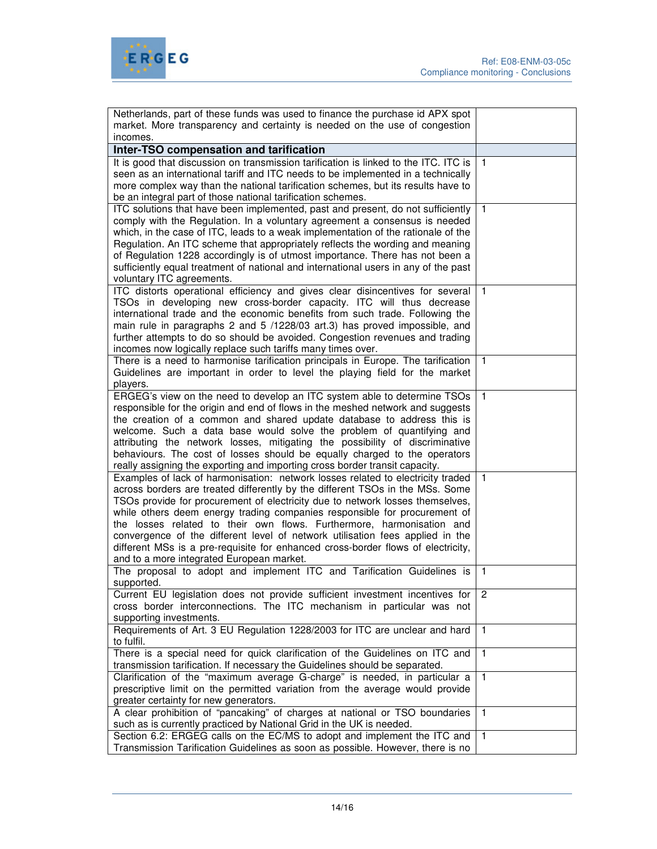

| Netherlands, part of these funds was used to finance the purchase id APX spot                                                 |                |
|-------------------------------------------------------------------------------------------------------------------------------|----------------|
| market. More transparency and certainty is needed on the use of congestion                                                    |                |
| incomes.                                                                                                                      |                |
| Inter-TSO compensation and tarification                                                                                       |                |
| It is good that discussion on transmission tarification is linked to the ITC. ITC is                                          | $\mathbf{1}$   |
| seen as an international tariff and ITC needs to be implemented in a technically                                              |                |
| more complex way than the national tarification schemes, but its results have to                                              |                |
| be an integral part of those national tarification schemes.                                                                   |                |
| ITC solutions that have been implemented, past and present, do not sufficiently                                               | $\mathbf{1}$   |
| comply with the Regulation. In a voluntary agreement a consensus is needed                                                    |                |
| which, in the case of ITC, leads to a weak implementation of the rationale of the                                             |                |
| Regulation. An ITC scheme that appropriately reflects the wording and meaning                                                 |                |
| of Regulation 1228 accordingly is of utmost importance. There has not been a                                                  |                |
| sufficiently equal treatment of national and international users in any of the past                                           |                |
| voluntary ITC agreements.                                                                                                     |                |
| ITC distorts operational efficiency and gives clear disincentives for several                                                 | $\mathbf{1}$   |
| TSOs in developing new cross-border capacity. ITC will thus decrease                                                          |                |
| international trade and the economic benefits from such trade. Following the                                                  |                |
| main rule in paragraphs 2 and 5 /1228/03 art.3) has proved impossible, and                                                    |                |
| further attempts to do so should be avoided. Congestion revenues and trading                                                  |                |
| incomes now logically replace such tariffs many times over.                                                                   |                |
| There is a need to harmonise tarification principals in Europe. The tarification                                              | $\mathbf{1}$   |
| Guidelines are important in order to level the playing field for the market                                                   |                |
| players.                                                                                                                      |                |
| ERGEG's view on the need to develop an ITC system able to determine TSOs                                                      | $\mathbf{1}$   |
| responsible for the origin and end of flows in the meshed network and suggests                                                |                |
| the creation of a common and shared update database to address this is                                                        |                |
| welcome. Such a data base would solve the problem of quantifying and                                                          |                |
| attributing the network losses, mitigating the possibility of discriminative                                                  |                |
| behaviours. The cost of losses should be equally charged to the operators                                                     |                |
| really assigning the exporting and importing cross border transit capacity.                                                   |                |
| Examples of lack of harmonisation: network losses related to electricity traded                                               | $\mathbf{1}$   |
| across borders are treated differently by the different TSOs in the MSs. Some                                                 |                |
| TSOs provide for procurement of electricity due to network losses themselves,                                                 |                |
| while others deem energy trading companies responsible for procurement of                                                     |                |
| the losses related to their own flows. Furthermore, harmonisation and                                                         |                |
| convergence of the different level of network utilisation fees applied in the                                                 |                |
| different MSs is a pre-requisite for enhanced cross-border flows of electricity,<br>and to a more integrated European market. |                |
| The proposal to adopt and implement ITC and Tarification Guidelines is                                                        | $\overline{1}$ |
| supported.                                                                                                                    |                |
| Current EU legislation does not provide sufficient investment incentives for                                                  | 2              |
| cross border interconnections. The ITC mechanism in particular was not                                                        |                |
| supporting investments.                                                                                                       |                |
| Requirements of Art. 3 EU Regulation 1228/2003 for ITC are unclear and hard                                                   | $\mathbf{1}$   |
| to fulfil.                                                                                                                    |                |
| There is a special need for quick clarification of the Guidelines on ITC and                                                  | $\mathbf{1}$   |
| transmission tarification. If necessary the Guidelines should be separated.                                                   |                |
| Clarification of the "maximum average G-charge" is needed, in particular a                                                    | $\mathbf{1}$   |
| prescriptive limit on the permitted variation from the average would provide                                                  |                |
| greater certainty for new generators.                                                                                         |                |
| A clear prohibition of "pancaking" of charges at national or TSO boundaries                                                   | $\mathbf{1}$   |
| such as is currently practiced by National Grid in the UK is needed.                                                          |                |
| Section 6.2: ERGEG calls on the EC/MS to adopt and implement the ITC and                                                      | $\mathbf{1}$   |
| Transmission Tarification Guidelines as soon as possible. However, there is no                                                |                |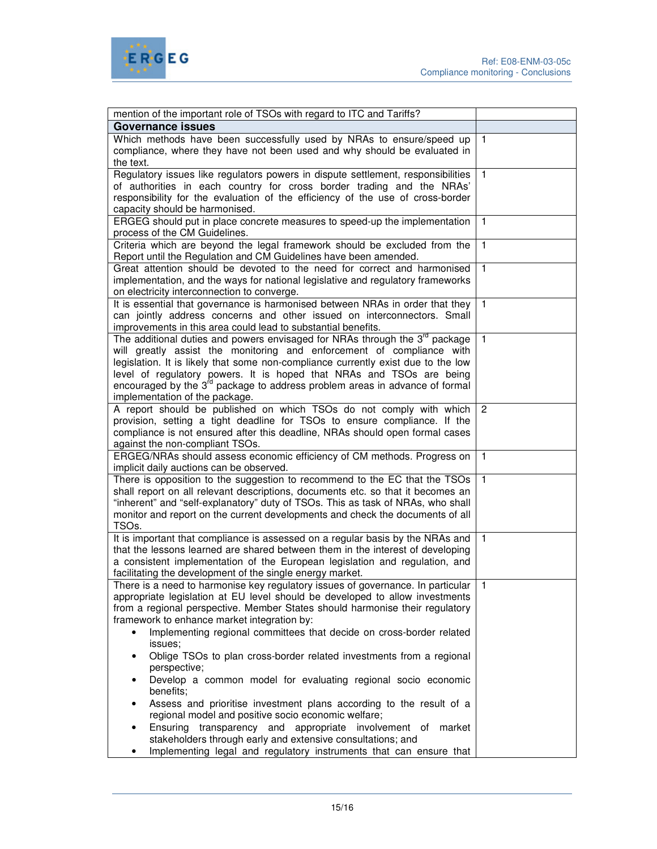

| mention of the important role of TSOs with regard to ITC and Tariffs?                   |              |
|-----------------------------------------------------------------------------------------|--------------|
|                                                                                         |              |
| <b>Governance issues</b>                                                                |              |
| Which methods have been successfully used by NRAs to ensure/speed up                    | $\mathbf{1}$ |
| compliance, where they have not been used and why should be evaluated in                |              |
| the text.                                                                               |              |
| Regulatory issues like regulators powers in dispute settlement, responsibilities        | $\mathbf{1}$ |
| of authorities in each country for cross border trading and the NRAs'                   |              |
| responsibility for the evaluation of the efficiency of the use of cross-border          |              |
| capacity should be harmonised.                                                          |              |
| ERGEG should put in place concrete measures to speed-up the implementation              | $\mathbf{1}$ |
| process of the CM Guidelines.                                                           |              |
| Criteria which are beyond the legal framework should be excluded from the               | $\mathbf{1}$ |
| Report until the Regulation and CM Guidelines have been amended.                        |              |
| Great attention should be devoted to the need for correct and harmonised                | $\mathbf{1}$ |
| implementation, and the ways for national legislative and regulatory frameworks         |              |
| on electricity interconnection to converge.                                             |              |
| It is essential that governance is harmonised between NRAs in order that they           | $\mathbf{1}$ |
| can jointly address concerns and other issued on interconnectors. Small                 |              |
| improvements in this area could lead to substantial benefits.                           |              |
| The additional duties and powers envisaged for NRAs through the 3 <sup>rd</sup> package | $\mathbf{1}$ |
| will greatly assist the monitoring and enforcement of compliance with                   |              |
| legislation. It is likely that some non-compliance currently exist due to the low       |              |
| level of regulatory powers. It is hoped that NRAs and TSOs are being                    |              |
| encouraged by the 3 <sup>rd</sup> package to address problem areas in advance of formal |              |
| implementation of the package.                                                          |              |
| A report should be published on which TSOs do not comply with which                     | 2            |
| provision, setting a tight deadline for TSOs to ensure compliance. If the               |              |
| compliance is not ensured after this deadline, NRAs should open formal cases            |              |
| against the non-compliant TSOs.                                                         |              |
| ERGEG/NRAs should assess economic efficiency of CM methods. Progress on                 | $\mathbf{1}$ |
| implicit daily auctions can be observed.                                                |              |
| There is opposition to the suggestion to recommend to the EC that the TSOs              | $\mathbf{1}$ |
| shall report on all relevant descriptions, documents etc. so that it becomes an         |              |
| "inherent" and "self-explanatory" duty of TSOs. This as task of NRAs, who shall         |              |
| monitor and report on the current developments and check the documents of all           |              |
| TSO <sub>s</sub> .                                                                      |              |
| It is important that compliance is assessed on a regular basis by the NRAs and          | $\mathbf{1}$ |
| that the lessons learned are shared between them in the interest of developing          |              |
| a consistent implementation of the European legislation and regulation, and             |              |
| facilitating the development of the single energy market.                               |              |
| There is a need to harmonise key regulatory issues of governance. In particular         |              |
| appropriate legislation at EU level should be developed to allow investments            |              |
| from a regional perspective. Member States should harmonise their regulatory            |              |
| framework to enhance market integration by:                                             |              |
| Implementing regional committees that decide on cross-border related<br>$\bullet$       |              |
| issues;                                                                                 |              |
| Oblige TSOs to plan cross-border related investments from a regional<br>perspective;    |              |
| Develop a common model for evaluating regional socio economic<br>٠                      |              |
| benefits;<br>Assess and prioritise investment plans according to the result of a<br>٠   |              |
| regional model and positive socio economic welfare;                                     |              |
| Ensuring<br>transparency and appropriate involvement of<br>market                       |              |
| stakeholders through early and extensive consultations; and                             |              |
| Implementing legal and regulatory instruments that can ensure that                      |              |